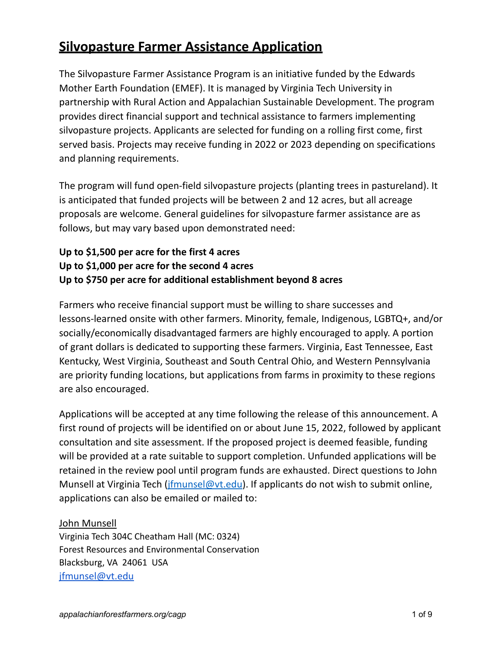# **Silvopasture Farmer Assistance Application**

The Silvopasture Farmer Assistance Program is an initiative funded by the Edwards Mother Earth Foundation (EMEF). It is managed by Virginia Tech University in partnership with Rural Action and Appalachian Sustainable Development. The program provides direct financial support and technical assistance to farmers implementing silvopasture projects. Applicants are selected for funding on a rolling first come, first served basis. Projects may receive funding in 2022 or 2023 depending on specifications and planning requirements.

The program will fund open-field silvopasture projects (planting trees in pastureland). It is anticipated that funded projects will be between 2 and 12 acres, but all acreage proposals are welcome. General guidelines for silvopasture farmer assistance are as follows, but may vary based upon demonstrated need:

#### **Up to \$1,500 per acre for the first 4 acres Up to \$1,000 per acre for the second 4 acres Up to \$750 per acre for additional establishment beyond 8 acres**

Farmers who receive financial support must be willing to share successes and lessons-learned onsite with other farmers. Minority, female, Indigenous, LGBTQ+, and/or socially/economically disadvantaged farmers are highly encouraged to apply. A portion of grant dollars is dedicated to supporting these farmers. Virginia, East Tennessee, East Kentucky, West Virginia, Southeast and South Central Ohio, and Western Pennsylvania are priority funding locations, but applications from farms in proximity to these regions are also encouraged.

Applications will be accepted at any time following the release of this announcement. A first round of projects will be identified on or about June 15, 2022, followed by applicant consultation and site assessment. If the proposed project is deemed feasible, funding will be provided at a rate suitable to support completion. Unfunded applications will be retained in the review pool until program funds are exhausted. Direct questions to John Munsell at Virginia Tech ( $\frac{ifmunsel@vt.edu}{if munsel@vt.edu}$ . If applicants do not wish to submit online, applications can also be emailed or mailed to:

#### John Munsell

Virginia Tech 304C Cheatham Hall (MC: 0324) Forest Resources and Environmental Conservation Blacksburg, VA 24061 USA [jfmunsel@vt.edu](mailto:jfmunsel@vt.edu)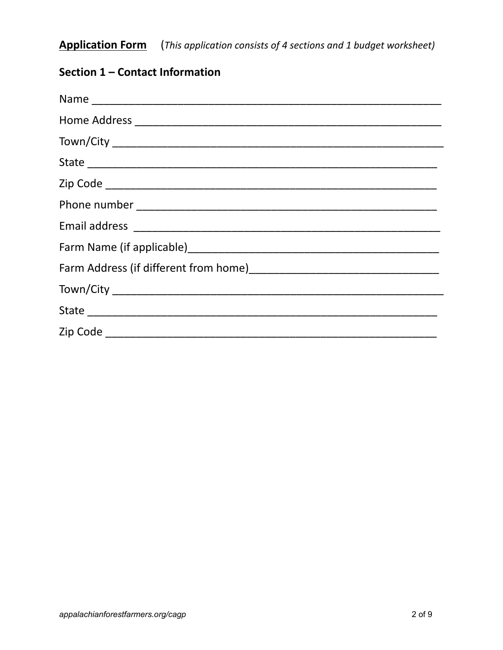**Application Form** (This application consists of 4 sections and 1 budget worksheet)

# Section 1 - Contact Information

| Name     |
|----------|
|          |
|          |
|          |
|          |
|          |
|          |
|          |
|          |
|          |
|          |
| Zip Code |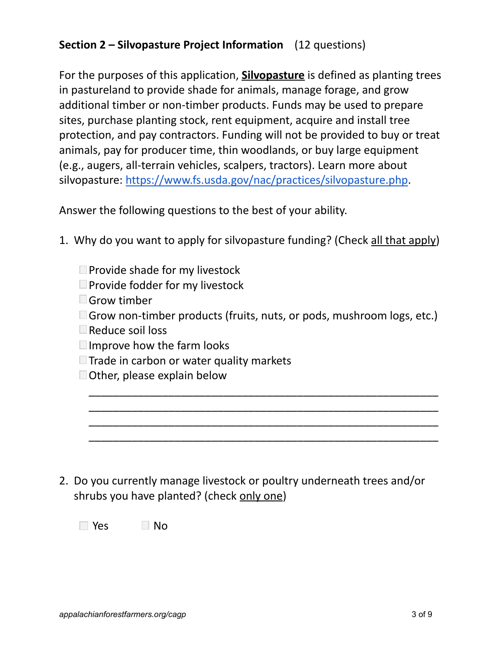# **Section 2 – Silvopasture Project Information** (12 questions)

For the purposes of this application, **Silvopasture** is defined as planting trees in pastureland to provide shade for animals, manage forage, and grow additional timber or non-timber products. Funds may be used to prepare sites, purchase planting stock, rent equipment, acquire and install tree protection, and pay contractors. Funding will not be provided to buy or treat animals, pay for producer time, thin woodlands, or buy large equipment (e.g., augers, all-terrain vehicles, scalpers, tractors). Learn more about silvopasture: [https://www.fs.usda.gov/nac/practices/silvopasture.php.](https://www.fs.usda.gov/nac/practices/silvopasture.php)

Answer the following questions to the best of your ability.

- 1. Why do you want to apply for silvopasture funding? (Check all that apply)
	- $\Box$  Provide shade for my livestock
	- $\Box$  Provide fodder for my livestock
	- Grow timber
	- **Grow non-timber products (fruits, nuts, or pods, mushroom logs, etc.)**

\_\_\_\_\_\_\_\_\_\_\_\_\_\_\_\_\_\_\_\_\_\_\_\_\_\_\_\_\_\_\_\_\_\_\_\_\_\_\_\_\_\_\_\_\_\_\_\_\_\_\_\_\_\_\_\_\_ \_\_\_\_\_\_\_\_\_\_\_\_\_\_\_\_\_\_\_\_\_\_\_\_\_\_\_\_\_\_\_\_\_\_\_\_\_\_\_\_\_\_\_\_\_\_\_\_\_\_\_\_\_\_\_\_\_ \_\_\_\_\_\_\_\_\_\_\_\_\_\_\_\_\_\_\_\_\_\_\_\_\_\_\_\_\_\_\_\_\_\_\_\_\_\_\_\_\_\_\_\_\_\_\_\_\_\_\_\_\_\_\_\_\_ \_\_\_\_\_\_\_\_\_\_\_\_\_\_\_\_\_\_\_\_\_\_\_\_\_\_\_\_\_\_\_\_\_\_\_\_\_\_\_\_\_\_\_\_\_\_\_\_\_\_\_\_\_\_\_\_\_

- Reduce soil loss
- $\Box$  Improve how the farm looks
- $\Box$  Trade in carbon or water quality markets
- Other, please explain below

2. Do you currently manage livestock or poultry underneath trees and/or shrubs you have planted? (check only one)

 $\Box$  Yes  $\Box$  No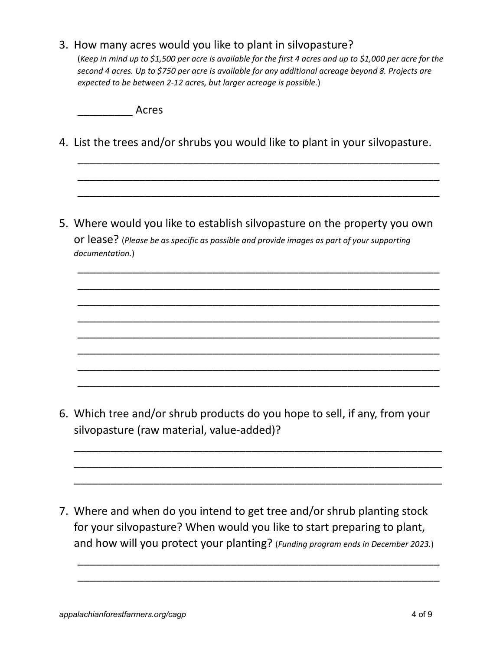#### 3. How many acres would you like to plant in silvopasture?

(Keep in mind up to \$1,500 per acre is available for the first 4 acres and up to \$1,000 per acre for the *second 4 acres. Up to \$750 per acre is available for any additional acreage beyond 8. Projects are expected to be between 2-12 acres, but larger acreage is possible.*)

\_\_\_\_\_\_\_\_\_ Acres

4. List the trees and/or shrubs you would like to plant in your silvopasture.

\_\_\_\_\_\_\_\_\_\_\_\_\_\_\_\_\_\_\_\_\_\_\_\_\_\_\_\_\_\_\_\_\_\_\_\_\_\_\_\_\_\_\_\_\_\_\_\_\_\_\_\_\_\_\_\_\_\_\_ \_\_\_\_\_\_\_\_\_\_\_\_\_\_\_\_\_\_\_\_\_\_\_\_\_\_\_\_\_\_\_\_\_\_\_\_\_\_\_\_\_\_\_\_\_\_\_\_\_\_\_\_\_\_\_\_\_\_\_ \_\_\_\_\_\_\_\_\_\_\_\_\_\_\_\_\_\_\_\_\_\_\_\_\_\_\_\_\_\_\_\_\_\_\_\_\_\_\_\_\_\_\_\_\_\_\_\_\_\_\_\_\_\_\_\_\_\_\_

5. Where would you like to establish silvopasture on the property you own or lease? (*Please be as specific as possible and provide images as part of your supporting documentation.*)

\_\_\_\_\_\_\_\_\_\_\_\_\_\_\_\_\_\_\_\_\_\_\_\_\_\_\_\_\_\_\_\_\_\_\_\_\_\_\_\_\_\_\_\_\_\_\_\_\_\_\_\_\_\_\_\_\_\_\_ \_\_\_\_\_\_\_\_\_\_\_\_\_\_\_\_\_\_\_\_\_\_\_\_\_\_\_\_\_\_\_\_\_\_\_\_\_\_\_\_\_\_\_\_\_\_\_\_\_\_\_\_\_\_\_\_\_\_\_ \_\_\_\_\_\_\_\_\_\_\_\_\_\_\_\_\_\_\_\_\_\_\_\_\_\_\_\_\_\_\_\_\_\_\_\_\_\_\_\_\_\_\_\_\_\_\_\_\_\_\_\_\_\_\_\_\_\_\_ \_\_\_\_\_\_\_\_\_\_\_\_\_\_\_\_\_\_\_\_\_\_\_\_\_\_\_\_\_\_\_\_\_\_\_\_\_\_\_\_\_\_\_\_\_\_\_\_\_\_\_\_\_\_\_\_\_\_\_ \_\_\_\_\_\_\_\_\_\_\_\_\_\_\_\_\_\_\_\_\_\_\_\_\_\_\_\_\_\_\_\_\_\_\_\_\_\_\_\_\_\_\_\_\_\_\_\_\_\_\_\_\_\_\_\_\_\_\_ \_\_\_\_\_\_\_\_\_\_\_\_\_\_\_\_\_\_\_\_\_\_\_\_\_\_\_\_\_\_\_\_\_\_\_\_\_\_\_\_\_\_\_\_\_\_\_\_\_\_\_\_\_\_\_\_\_\_\_ \_\_\_\_\_\_\_\_\_\_\_\_\_\_\_\_\_\_\_\_\_\_\_\_\_\_\_\_\_\_\_\_\_\_\_\_\_\_\_\_\_\_\_\_\_\_\_\_\_\_\_\_\_\_\_\_\_\_\_ \_\_\_\_\_\_\_\_\_\_\_\_\_\_\_\_\_\_\_\_\_\_\_\_\_\_\_\_\_\_\_\_\_\_\_\_\_\_\_\_\_\_\_\_\_\_\_\_\_\_\_\_\_\_\_\_\_\_\_

6. Which tree and/or shrub products do you hope to sell, if any, from your silvopasture (raw material, value-added)?

\_\_\_\_\_\_\_\_\_\_\_\_\_\_\_\_\_\_\_\_\_\_\_\_\_\_\_\_\_\_\_\_\_\_\_\_\_\_\_\_\_\_\_\_\_\_\_\_\_\_\_\_\_\_\_\_\_\_\_\_ \_\_\_\_\_\_\_\_\_\_\_\_\_\_\_\_\_\_\_\_\_\_\_\_\_\_\_\_\_\_\_\_\_\_\_\_\_\_\_\_\_\_\_\_\_\_\_\_\_\_\_\_\_\_\_\_\_\_\_\_ \_\_\_\_\_\_\_\_\_\_\_\_\_\_\_\_\_\_\_\_\_\_\_\_\_\_\_\_\_\_\_\_\_\_\_\_\_\_\_\_\_\_\_\_\_\_\_\_\_\_\_\_\_\_\_\_\_\_\_\_

7. Where and when do you intend to get tree and/or shrub planting stock for your silvopasture? When would you like to start preparing to plant, and how will you protect your planting? (*Funding program ends in December 2023.*)

\_\_\_\_\_\_\_\_\_\_\_\_\_\_\_\_\_\_\_\_\_\_\_\_\_\_\_\_\_\_\_\_\_\_\_\_\_\_\_\_\_\_\_\_\_\_\_\_\_\_\_\_\_\_\_\_\_\_\_ \_\_\_\_\_\_\_\_\_\_\_\_\_\_\_\_\_\_\_\_\_\_\_\_\_\_\_\_\_\_\_\_\_\_\_\_\_\_\_\_\_\_\_\_\_\_\_\_\_\_\_\_\_\_\_\_\_\_\_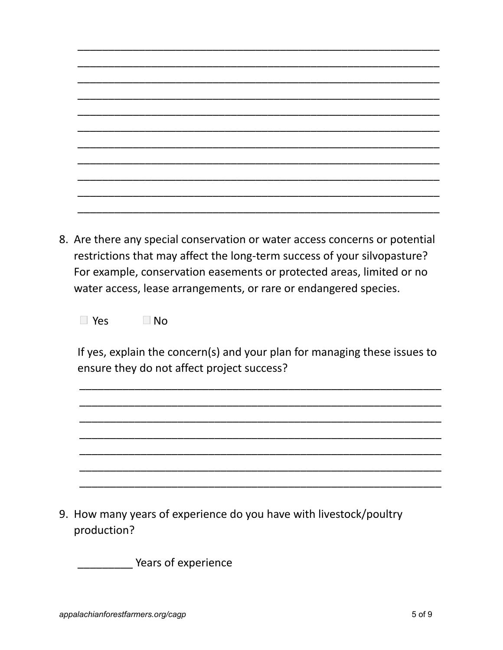| Are there any special conservation or water access concerns or notential |
|--------------------------------------------------------------------------|

8. Are there any special conservation or water access concerns or potential restrictions that may affect the long-term success of your silvopasture? For example, conservation easements or protected areas, limited or no water access, lease arrangements, or rare or endangered species.

 $\Box$  Yes  $\Box$  No

If yes, explain the concern(s) and your plan for managing these issues to ensure they do not affect project success?

9. How many years of experience do you have with livestock/poultry production?

Vears of experience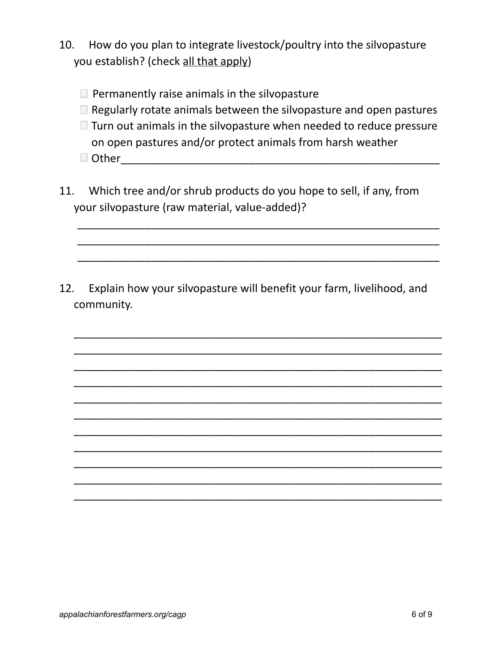- 10. How do you plan to integrate livestock/poultry into the silvopasture you establish? (check all that apply)
	- $\Box$  Permanently raise animals in the silvopasture
	- $\Box$  Regularly rotate animals between the silvopasture and open pastures
	- $\Box$  Turn out animals in the silvopasture when needed to reduce pressure on open pastures and/or protect animals from harsh weather Other\_\_\_\_\_\_\_\_\_\_\_\_\_\_\_\_\_\_\_\_\_\_\_\_\_\_\_\_\_\_\_\_\_\_\_\_\_\_\_\_\_\_\_\_\_\_\_\_\_\_\_\_

\_\_\_\_\_\_\_\_\_\_\_\_\_\_\_\_\_\_\_\_\_\_\_\_\_\_\_\_\_\_\_\_\_\_\_\_\_\_\_\_\_\_\_\_\_\_\_\_\_\_\_\_\_\_\_\_\_\_\_ \_\_\_\_\_\_\_\_\_\_\_\_\_\_\_\_\_\_\_\_\_\_\_\_\_\_\_\_\_\_\_\_\_\_\_\_\_\_\_\_\_\_\_\_\_\_\_\_\_\_\_\_\_\_\_\_\_\_\_ \_\_\_\_\_\_\_\_\_\_\_\_\_\_\_\_\_\_\_\_\_\_\_\_\_\_\_\_\_\_\_\_\_\_\_\_\_\_\_\_\_\_\_\_\_\_\_\_\_\_\_\_\_\_\_\_\_\_\_

11. Which tree and/or shrub products do you hope to sell, if any, from your silvopasture (raw material, value-added)?

12. Explain how your silvopasture will benefit your farm, livelihood, and community.

\_\_\_\_\_\_\_\_\_\_\_\_\_\_\_\_\_\_\_\_\_\_\_\_\_\_\_\_\_\_\_\_\_\_\_\_\_\_\_\_\_\_\_\_\_\_\_\_\_\_\_\_\_\_\_\_\_\_\_\_ \_\_\_\_\_\_\_\_\_\_\_\_\_\_\_\_\_\_\_\_\_\_\_\_\_\_\_\_\_\_\_\_\_\_\_\_\_\_\_\_\_\_\_\_\_\_\_\_\_\_\_\_\_\_\_\_\_\_\_\_ \_\_\_\_\_\_\_\_\_\_\_\_\_\_\_\_\_\_\_\_\_\_\_\_\_\_\_\_\_\_\_\_\_\_\_\_\_\_\_\_\_\_\_\_\_\_\_\_\_\_\_\_\_\_\_\_\_\_\_\_ \_\_\_\_\_\_\_\_\_\_\_\_\_\_\_\_\_\_\_\_\_\_\_\_\_\_\_\_\_\_\_\_\_\_\_\_\_\_\_\_\_\_\_\_\_\_\_\_\_\_\_\_\_\_\_\_\_\_\_\_ \_\_\_\_\_\_\_\_\_\_\_\_\_\_\_\_\_\_\_\_\_\_\_\_\_\_\_\_\_\_\_\_\_\_\_\_\_\_\_\_\_\_\_\_\_\_\_\_\_\_\_\_\_\_\_\_\_\_\_\_ \_\_\_\_\_\_\_\_\_\_\_\_\_\_\_\_\_\_\_\_\_\_\_\_\_\_\_\_\_\_\_\_\_\_\_\_\_\_\_\_\_\_\_\_\_\_\_\_\_\_\_\_\_\_\_\_\_\_\_\_ \_\_\_\_\_\_\_\_\_\_\_\_\_\_\_\_\_\_\_\_\_\_\_\_\_\_\_\_\_\_\_\_\_\_\_\_\_\_\_\_\_\_\_\_\_\_\_\_\_\_\_\_\_\_\_\_\_\_\_\_ \_\_\_\_\_\_\_\_\_\_\_\_\_\_\_\_\_\_\_\_\_\_\_\_\_\_\_\_\_\_\_\_\_\_\_\_\_\_\_\_\_\_\_\_\_\_\_\_\_\_\_\_\_\_\_\_\_\_\_\_ \_\_\_\_\_\_\_\_\_\_\_\_\_\_\_\_\_\_\_\_\_\_\_\_\_\_\_\_\_\_\_\_\_\_\_\_\_\_\_\_\_\_\_\_\_\_\_\_\_\_\_\_\_\_\_\_\_\_\_\_ \_\_\_\_\_\_\_\_\_\_\_\_\_\_\_\_\_\_\_\_\_\_\_\_\_\_\_\_\_\_\_\_\_\_\_\_\_\_\_\_\_\_\_\_\_\_\_\_\_\_\_\_\_\_\_\_\_\_\_\_ \_\_\_\_\_\_\_\_\_\_\_\_\_\_\_\_\_\_\_\_\_\_\_\_\_\_\_\_\_\_\_\_\_\_\_\_\_\_\_\_\_\_\_\_\_\_\_\_\_\_\_\_\_\_\_\_\_\_\_\_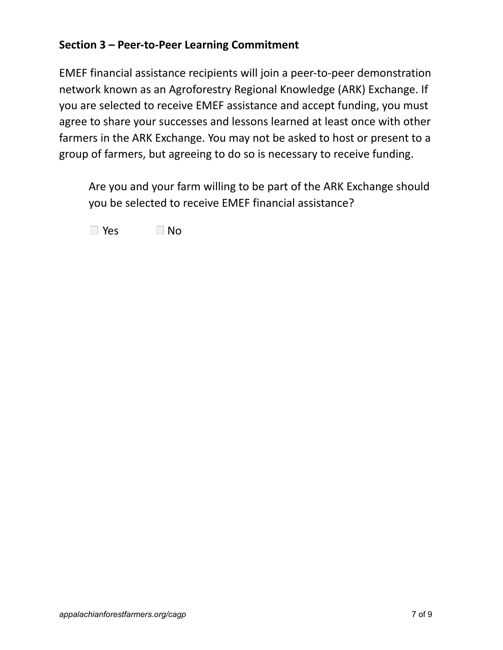### **Section 3 – Peer-to-Peer Learning Commitment**

EMEF financial assistance recipients will join a peer-to-peer demonstration network known as an Agroforestry Regional Knowledge (ARK) Exchange. If you are selected to receive EMEF assistance and accept funding, you must agree to share your successes and lessons learned at least once with other farmers in the ARK Exchange. You may not be asked to host or present to a group of farmers, but agreeing to do so is necessary to receive funding.

Are you and your farm willing to be part of the ARK Exchange should you be selected to receive EMEF financial assistance?

 $\Box$  Yes  $\Box$  No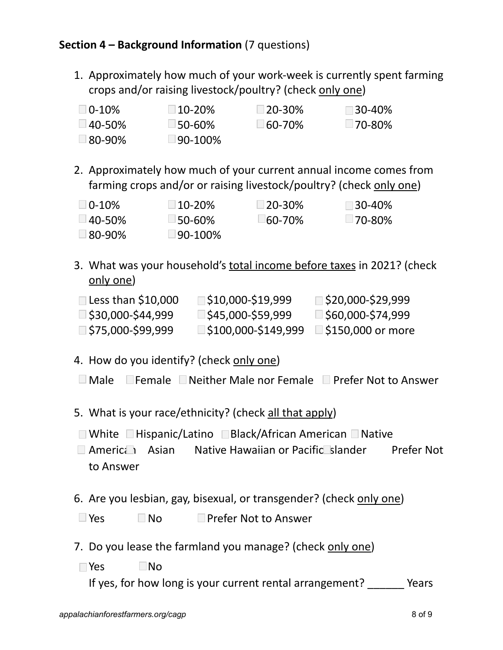## **Section 4 – Background Information** (7 questions)

1. Approximately how much of your work-week is currently spent farming crops and/or raising livestock/poultry? (check only one)

| $\Box$ 0-10% | $\Box$ 10-20%         | $\Box$ 20-30% | ∃30-40%       |
|--------------|-----------------------|---------------|---------------|
| □ 40-50%     | $\square$ 50-60%      | $\Box$ 60-70% | $\Box$ 70-80% |
| ⊥80-90%      | $\sqcup$ 90-100% $\,$ |               |               |
|              |                       |               |               |

2. Approximately how much of your current annual income comes from farming crops and/or or raising livestock/poultry? (check only one)

| $\Box$ 0-10%  | $\Box$ 10-20%         | $\Box$ 20-30% | $\Box$ 30-40% |
|---------------|-----------------------|---------------|---------------|
| $\Box$ 40-50% | $□$ 50-60%            | 160-70%       | $\Box$ 70-80% |
| ⊥80-90%       | $\sqcup$ 90-100% $\,$ |               |               |

3. What was your household's total income before taxes in 2021? (check only one)

| Less than \$10,000 | ∫\$10,000-\$19,999 | ∫\$20,000-\$29,999 |
|--------------------|--------------------|--------------------|
| ⊥\$30,000-\$44,999 | ∫\$45,000-\$59,999 | ∃\$60,000-\$74,999 |
| ∃\$75,000-\$99,999 | 5100,000-\$149,999 | ■\$150,000 or more |

- 4. How do you identify? (check <u>only one</u>)
- $\Box$  Male  $\Box$  Female  $\Box$  Neither Male nor Female  $\Box$  Prefer Not to Answer
- 5. What is your race/ethnicity? (check all that apply)
- $\Box$  White  $\Box$  Hispanic/Latino  $\Box$  Black/African American  $\Box$  Native
- American Asian Native Hawaiian or Pacific Islander Prefer Not to Answer
- 6. Are you lesbian, gay, bisexual, or transgender? (check only one)
- $\Box$  Yes  $\Box$  No  $\Box$  Prefer Not to Answer
- 7. Do you lease the farmland you manage? (check only one)
- $\Box$ Yes  $\Box$ No

If yes, for how long is your current rental arrangement? Years